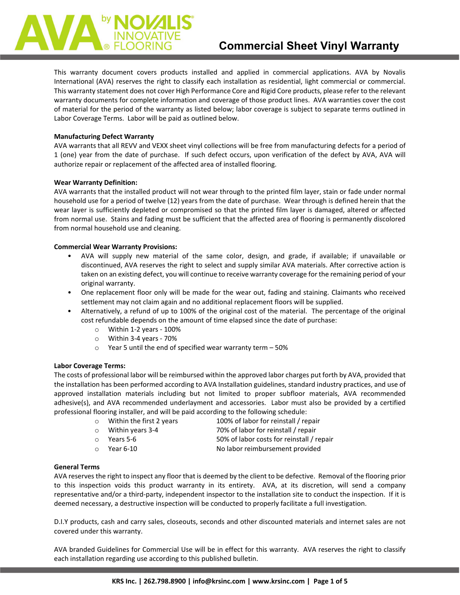This warranty document covers products installed and applied in commercial applications. AVA by Novalis International (AVA) reserves the right to classify each installation as residential, light commercial or commercial. This warranty statement does not cover High Performance Core and Rigid Core products, please refer to the relevant warranty documents for complete information and coverage of those product lines. AVA warranties cover the cost of material for the period of the warranty as listed below; labor coverage is subject to separate terms outlined in Labor Coverage Terms. Labor will be paid as outlined below.

# **Manufacturing Defect Warranty**

AVA warrants that all REVV and VEXX sheet vinyl collections will be free from manufacturing defects for a period of 1 (one) year from the date of purchase. If such defect occurs, upon verification of the defect by AVA, AVA will authorize repair or replacement of the affected area of installed flooring.

# **Wear Warranty Definition:**

AVA warrants that the installed product will not wear through to the printed film layer, stain or fade under normal household use for a period of twelve (12) years from the date of purchase. Wear through is defined herein that the wear layer is sufficiently depleted or compromised so that the printed film layer is damaged, altered or affected from normal use. Stains and fading must be sufficient that the affected area of flooring is permanently discolored from normal household use and cleaning.

# **Commercial Wear Warranty Provisions:**

- AVA will supply new material of the same color, design, and grade, if available; if unavailable or discontinued, AVA reserves the right to select and supply similar AVA materials. After corrective action is taken on an existing defect, you will continue to receive warranty coverage for the remaining period of your original warranty.
- One replacement floor only will be made for the wear out, fading and staining. Claimants who received settlement may not claim again and no additional replacement floors will be supplied.
- Alternatively, a refund of up to 100% of the original cost of the material. The percentage of the original cost refundable depends on the amount of time elapsed since the date of purchase:
	- o Within 1-2 years 100%
	- o Within 3-4 years 70%
	- $\circ$  Year 5 until the end of specified wear warranty term 50%

# **Labor Coverage Terms:**

The costs of professional labor will be reimbursed within the approved labor charges put forth by AVA, provided that the installation has been performed according to AVA Installation guidelines, standard industry practices, and use of approved installation materials including but not limited to proper subfloor materials, AVA recommended adhesive(s), and AVA recommended underlayment and accessories. Labor must also be provided by a certified professional flooring installer, and will be paid according to the following schedule:

- o Within the first 2 years 100% of labor for reinstall / repair
- 
- 

o Within years 3-4 70% of labor for reinstall / repair

Years 5-6 50% of labor costs for reinstall / repair<br>Year 6-10 50% of labor reimbursement provided o Year 6-10 No labor reimbursement provided

# **General Terms**

AVA reserves the right to inspect any floor that is deemed by the client to be defective. Removal of the flooring prior to this inspection voids this product warranty in its entirety. AVA, at its discretion, will send a company representative and/or a third-party, independent inspector to the installation site to conduct the inspection. If it is deemed necessary, a destructive inspection will be conducted to properly facilitate a full investigation.

D.I.Y products, cash and carry sales, closeouts, seconds and other discounted materials and internet sales are not covered under this warranty.

AVA branded Guidelines for Commercial Use will be in effect for this warranty. AVA reserves the right to classify each installation regarding use according to this published bulletin.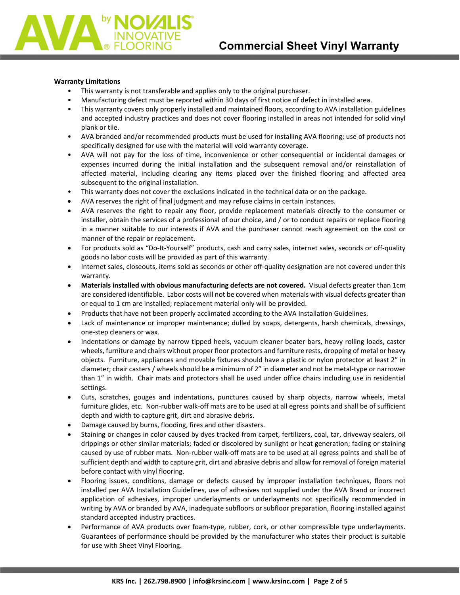### **Warranty Limitations**

- This warranty is not transferable and applies only to the original purchaser.
- Manufacturing defect must be reported within 30 days of first notice of defect in installed area.
- This warranty covers only properly installed and maintained floors, according to AVA installation guidelines and accepted industry practices and does not cover flooring installed in areas not intended for solid vinyl plank or tile.
- AVA branded and/or recommended products must be used for installing AVA flooring; use of products not specifically designed for use with the material will void warranty coverage.
- AVA will not pay for the loss of time, inconvenience or other consequential or incidental damages or expenses incurred during the initial installation and the subsequent removal and/or reinstallation of affected material, including clearing any items placed over the finished flooring and affected area subsequent to the original installation.
- This warranty does not cover the exclusions indicated in the technical data or on the package.
- AVA reserves the right of final judgment and may refuse claims in certain instances.
- AVA reserves the right to repair any floor, provide replacement materials directly to the consumer or installer, obtain the services of a professional of our choice, and / or to conduct repairs or replace flooring in a manner suitable to our interests if AVA and the purchaser cannot reach agreement on the cost or manner of the repair or replacement.
- For products sold as "Do-It-Yourself" products, cash and carry sales, internet sales, seconds or off-quality goods no labor costs will be provided as part of this warranty.
- Internet sales, closeouts, items sold as seconds or other off-quality designation are not covered under this warranty.
- **Materials installed with obvious manufacturing defects are not covered.** Visual defects greater than 1cm are considered identifiable. Labor costs will not be covered when materials with visual defects greater than or equal to 1 cm are installed; replacement material only will be provided.
- Products that have not been properly acclimated according to the AVA Installation Guidelines.
- Lack of maintenance or improper maintenance; dulled by soaps, detergents, harsh chemicals, dressings, one-step cleaners or wax.
- Indentations or damage by narrow tipped heels, vacuum cleaner beater bars, heavy rolling loads, caster wheels, furniture and chairs without proper floor protectors and furniture rests, dropping of metal or heavy objects. Furniture, appliances and movable fixtures should have a plastic or nylon protector at least 2" in diameter; chair casters / wheels should be a minimum of 2" in diameter and not be metal-type or narrower than 1" in width. Chair mats and protectors shall be used under office chairs including use in residential settings.
- Cuts, scratches, gouges and indentations, punctures caused by sharp objects, narrow wheels, metal furniture glides, etc. Non-rubber walk-off mats are to be used at all egress points and shall be of sufficient depth and width to capture grit, dirt and abrasive debris.
- Damage caused by burns, flooding, fires and other disasters.
- Staining or changes in color caused by dyes tracked from carpet, fertilizers, coal, tar, driveway sealers, oil drippings or other similar materials; faded or discolored by sunlight or heat generation; fading or staining caused by use of rubber mats. Non-rubber walk-off mats are to be used at all egress points and shall be of sufficient depth and width to capture grit, dirt and abrasive debris and allow for removal of foreign material before contact with vinyl flooring.
- Flooring issues, conditions, damage or defects caused by improper installation techniques, floors not installed per AVA Installation Guidelines, use of adhesives not supplied under the AVA Brand or incorrect application of adhesives, improper underlayments or underlayments not specifically recommended in writing by AVA or branded by AVA, inadequate subfloors or subfloor preparation, flooring installed against standard accepted industry practices.
- Performance of AVA products over foam-type, rubber, cork, or other compressible type underlayments. Guarantees of performance should be provided by the manufacturer who states their product is suitable for use with Sheet Vinyl Flooring.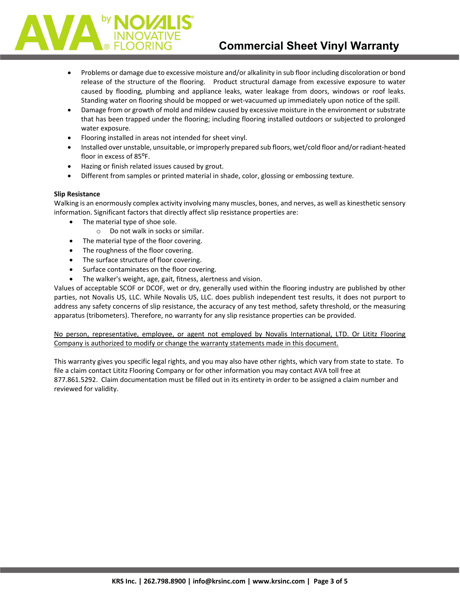

- Problems or damage due to excessive moisture and/or alkalinity in sub floor including discoloration or bond release of the structure of the flooring. Product structural damage from excessive exposure to water caused by flooding, plumbing and appliance leaks, water leakage from doors, windows or roof leaks. Standing water on flooring should be mopped or wet-vacuumed up immediately upon notice of the spill.
- Damage from or growth of mold and mildew caused by excessive moisture in the environment or substrate that has been trapped under the flooring; including flooring installed outdoors or subjected to prolonged water exposure.
- Flooring installed in areas not intended for sheet vinyl.
- Installed over unstable, unsuitable, or improperly prepared sub floors, wet/cold floor and/or radiant-heated floor in excess of 85°F.
- Hazing or finish related issues caused by grout.
- Different from samples or printed material in shade, color, glossing or embossing texture.

# **Slip Resistance**

Walking is an enormously complex activity involving many muscles, bones, and nerves, as well as kinesthetic sensory information. Significant factors that directly affect slip resistance properties are:

- The material type of shoe sole.
	- o Do not walk in socks or similar.
- The material type of the floor covering.
- The roughness of the floor covering.
- The surface structure of floor covering.
- Surface contaminates on the floor covering.
- The walker's weight, age, gait, fitness, alertness and vision.

Values of acceptable SCOF or DCOF, wet or dry, generally used within the flooring industry are published by other parties, not Novalis US, LLC. While Novalis US, LLC. does publish independent test results, it does not purport to address any safety concerns of slip resistance, the accuracy of any test method, safety threshold, or the measuring apparatus (tribometers). Therefore, no warranty for any slip resistance properties can be provided.

No person, representative, employee, or agent not employed by Novalis International, LTD. Or Lititz Flooring Company is authorized to modify or change the warranty statements made in this document.

This warranty gives you specific legal rights, and you may also have other rights, which vary from state to state. To file a claim contact Lititz Flooring Company or for other information you may contact AVA toll free at 877.861.5292. Claim documentation must be filled out in its entirety in order to be assigned a claim number and reviewed for validity.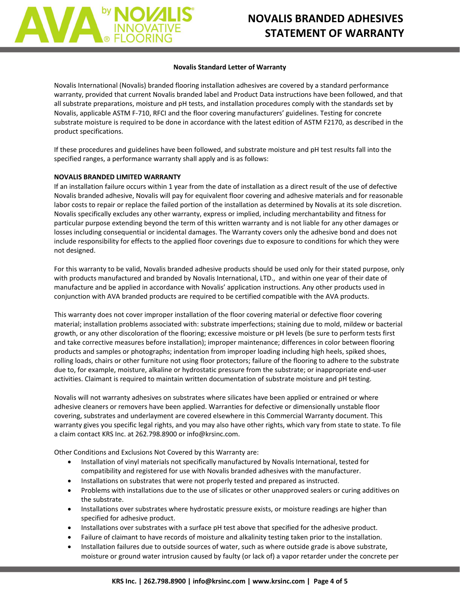

### **Novalis Standard Letter of Warranty**

Novalis International (Novalis) branded flooring installation adhesives are covered by a standard performance warranty, provided that current Novalis branded label and Product Data instructions have been followed, and that all substrate preparations, moisture and pH tests, and installation procedures comply with the standards set by Novalis, applicable ASTM F-710, RFCI and the floor covering manufacturers' guidelines. Testing for concrete substrate moisture is required to be done in accordance with the latest edition of ASTM F2170, as described in the product specifications.

If these procedures and guidelines have been followed, and substrate moisture and pH test results fall into the specified ranges, a performance warranty shall apply and is as follows:

# **NOVALIS BRANDED LIMITED WARRANTY**

If an installation failure occurs within 1 year from the date of installation as a direct result of the use of defective Novalis branded adhesive, Novalis will pay for equivalent floor covering and adhesive materials and for reasonable labor costs to repair or replace the failed portion of the installation as determined by Novalis at its sole discretion. Novalis specifically excludes any other warranty, express or implied, including merchantability and fitness for particular purpose extending beyond the term of this written warranty and is not liable for any other damages or losses including consequential or incidental damages. The Warranty covers only the adhesive bond and does not include responsibility for effects to the applied floor coverings due to exposure to conditions for which they were not designed.

For this warranty to be valid, Novalis branded adhesive products should be used only for their stated purpose, only with products manufactured and branded by Novalis International, LTD., and within one year of their date of manufacture and be applied in accordance with Novalis' application instructions. Any other products used in conjunction with AVA branded products are required to be certified compatible with the AVA products.

This warranty does not cover improper installation of the floor covering material or defective floor covering material; installation problems associated with: substrate imperfections; staining due to mold, mildew or bacterial growth, or any other discoloration of the flooring; excessive moisture or pH levels (be sure to perform tests first and take corrective measures before installation); improper maintenance; differences in color between flooring products and samples or photographs; indentation from improper loading including high heels, spiked shoes, rolling loads, chairs or other furniture not using floor protectors; failure of the flooring to adhere to the substrate due to, for example, moisture, alkaline or hydrostatic pressure from the substrate; or inappropriate end-user activities. Claimant is required to maintain written documentation of substrate moisture and pH testing.

Novalis will not warranty adhesives on substrates where silicates have been applied or entrained or where adhesive cleaners or removers have been applied. Warranties for defective or dimensionally unstable floor covering, substrates and underlayment are covered elsewhere in this Commercial Warranty document. This warranty gives you specific legal rights, and you may also have other rights, which vary from state to state. To file a claim contact KRS Inc. at 262.798.8900 or info@krsinc.com.

Other Conditions and Exclusions Not Covered by this Warranty are:

- Installation of vinyl materials not specifically manufactured by Novalis International, tested for compatibility and registered for use with Novalis branded adhesives with the manufacturer.
- Installations on substrates that were not properly tested and prepared as instructed.
- Problems with installations due to the use of silicates or other unapproved sealers or curing additives on the substrate.
- Installations over substrates where hydrostatic pressure exists, or moisture readings are higher than specified for adhesive product.
- Installations over substrates with a surface pH test above that specified for the adhesive product.
- Failure of claimant to have records of moisture and alkalinity testing taken prior to the installation.
- Installation failures due to outside sources of water, such as where outside grade is above substrate, moisture or ground water intrusion caused by faulty (or lack of) a vapor retarder under the concrete per